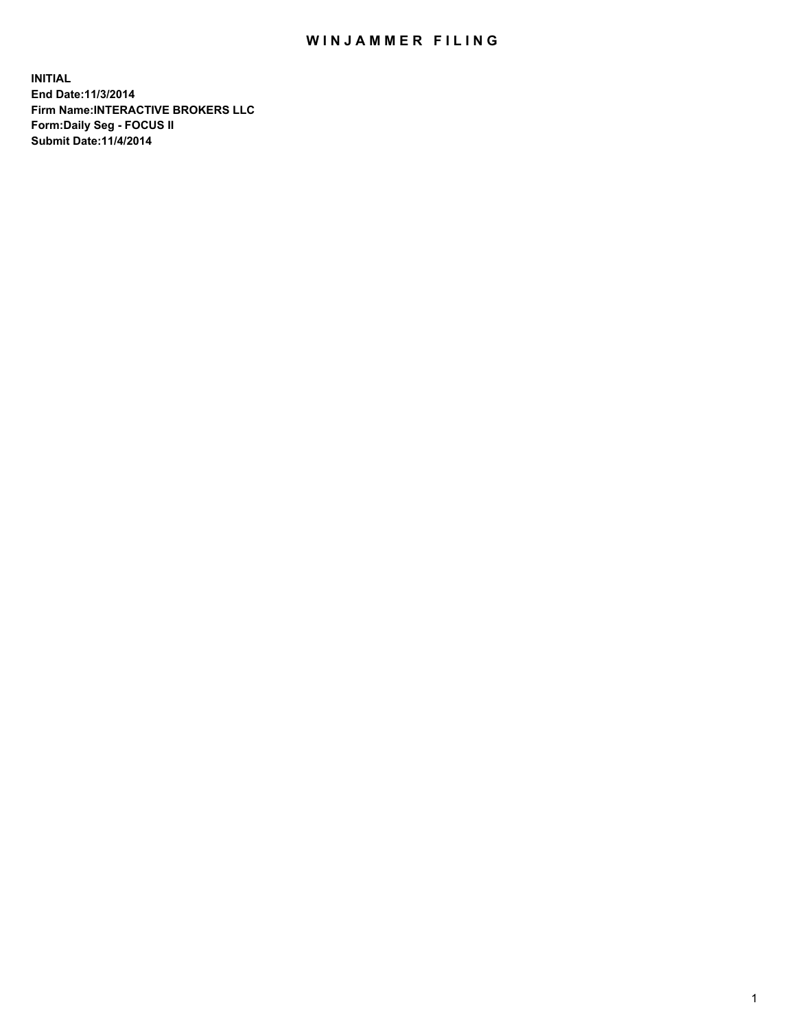## WIN JAMMER FILING

**INITIAL End Date:11/3/2014 Firm Name:INTERACTIVE BROKERS LLC Form:Daily Seg - FOCUS II Submit Date:11/4/2014**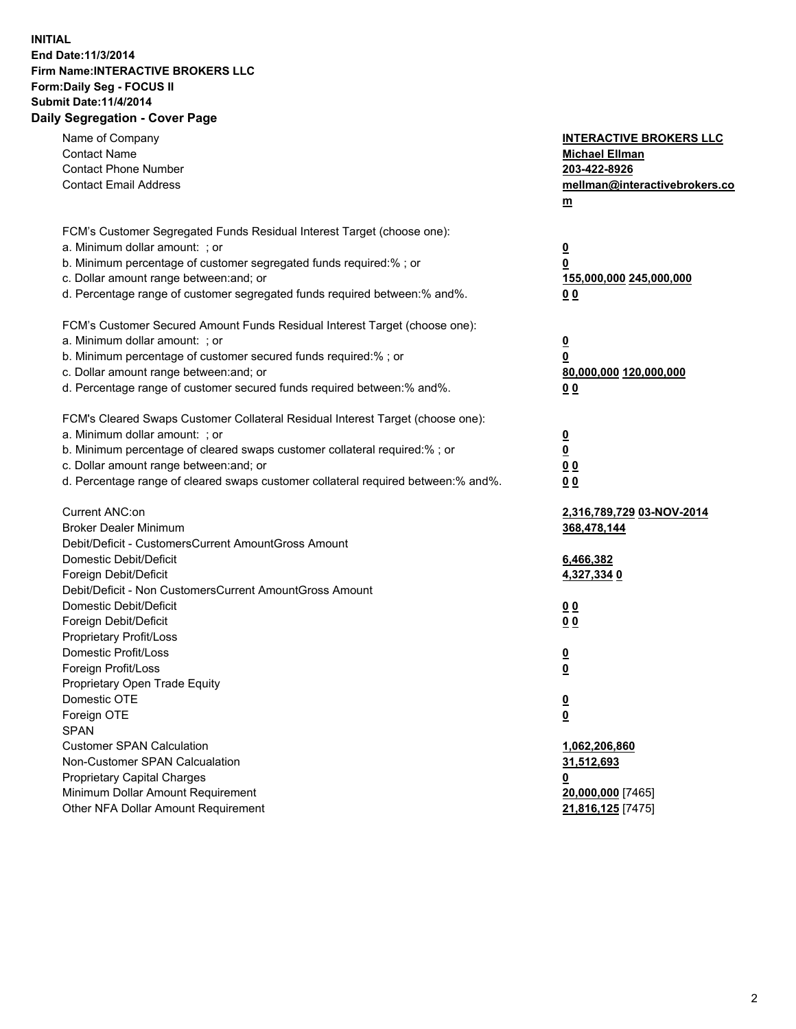## **INITIAL End Date:11/3/2014 Firm Name:INTERACTIVE BROKERS LLC Form:Daily Seg - FOCUS II Submit Date:11/4/2014 Daily Segregation - Cover Page**

| Name of Company<br><b>Contact Name</b><br><b>Contact Phone Number</b><br><b>Contact Email Address</b>    | <b>INTERACTIVE BROKERS LLC</b><br><b>Michael Ellman</b><br>203-422-8926<br>mellman@interactivebrokers.co<br>$m$ |
|----------------------------------------------------------------------------------------------------------|-----------------------------------------------------------------------------------------------------------------|
| FCM's Customer Segregated Funds Residual Interest Target (choose one):<br>a. Minimum dollar amount: ; or | $\overline{\mathbf{0}}$                                                                                         |
| b. Minimum percentage of customer segregated funds required:% ; or                                       | 0                                                                                                               |
| c. Dollar amount range between: and; or                                                                  | 155,000,000 245,000,000                                                                                         |
| d. Percentage range of customer segregated funds required between:% and%.                                | 0 <sub>0</sub>                                                                                                  |
| FCM's Customer Secured Amount Funds Residual Interest Target (choose one):                               |                                                                                                                 |
| a. Minimum dollar amount: ; or                                                                           | $\overline{\mathbf{0}}$                                                                                         |
| b. Minimum percentage of customer secured funds required:% ; or                                          | 0                                                                                                               |
| c. Dollar amount range between: and; or                                                                  | 80,000,000 120,000,000                                                                                          |
| d. Percentage range of customer secured funds required between:% and%.                                   | 0 <sub>0</sub>                                                                                                  |
| FCM's Cleared Swaps Customer Collateral Residual Interest Target (choose one):                           |                                                                                                                 |
| a. Minimum dollar amount: ; or                                                                           | $\overline{\mathbf{0}}$                                                                                         |
| b. Minimum percentage of cleared swaps customer collateral required:% ; or                               | $\overline{\mathbf{0}}$                                                                                         |
| c. Dollar amount range between: and; or                                                                  | 0 <sub>0</sub>                                                                                                  |
| d. Percentage range of cleared swaps customer collateral required between:% and%.                        | 0 <sub>0</sub>                                                                                                  |
| Current ANC:on                                                                                           | 2,316,789,729 03-NOV-2014                                                                                       |
| <b>Broker Dealer Minimum</b>                                                                             | 368,478,144                                                                                                     |
| Debit/Deficit - CustomersCurrent AmountGross Amount                                                      |                                                                                                                 |
| Domestic Debit/Deficit                                                                                   | 6,466,382                                                                                                       |
| Foreign Debit/Deficit                                                                                    | 4,327,334 0                                                                                                     |
| Debit/Deficit - Non CustomersCurrent AmountGross Amount                                                  |                                                                                                                 |
| Domestic Debit/Deficit<br>Foreign Debit/Deficit                                                          | 0 <sub>0</sub>                                                                                                  |
| Proprietary Profit/Loss                                                                                  | 0 <sub>0</sub>                                                                                                  |
| Domestic Profit/Loss                                                                                     | $\overline{\mathbf{0}}$                                                                                         |
| Foreign Profit/Loss                                                                                      | $\underline{\mathbf{0}}$                                                                                        |
| Proprietary Open Trade Equity                                                                            |                                                                                                                 |
| Domestic OTE                                                                                             | <u>0</u>                                                                                                        |
| Foreign OTE                                                                                              | <u>0</u>                                                                                                        |
| <b>SPAN</b>                                                                                              |                                                                                                                 |
| <b>Customer SPAN Calculation</b>                                                                         | 1,062,206,860                                                                                                   |
| Non-Customer SPAN Calcualation                                                                           | <u>31,512,693</u>                                                                                               |
| Proprietary Capital Charges                                                                              | <u>0</u>                                                                                                        |
| Minimum Dollar Amount Requirement                                                                        | 20,000,000 [7465]                                                                                               |
| Other NFA Dollar Amount Requirement                                                                      | 21,816,125 [7475]                                                                                               |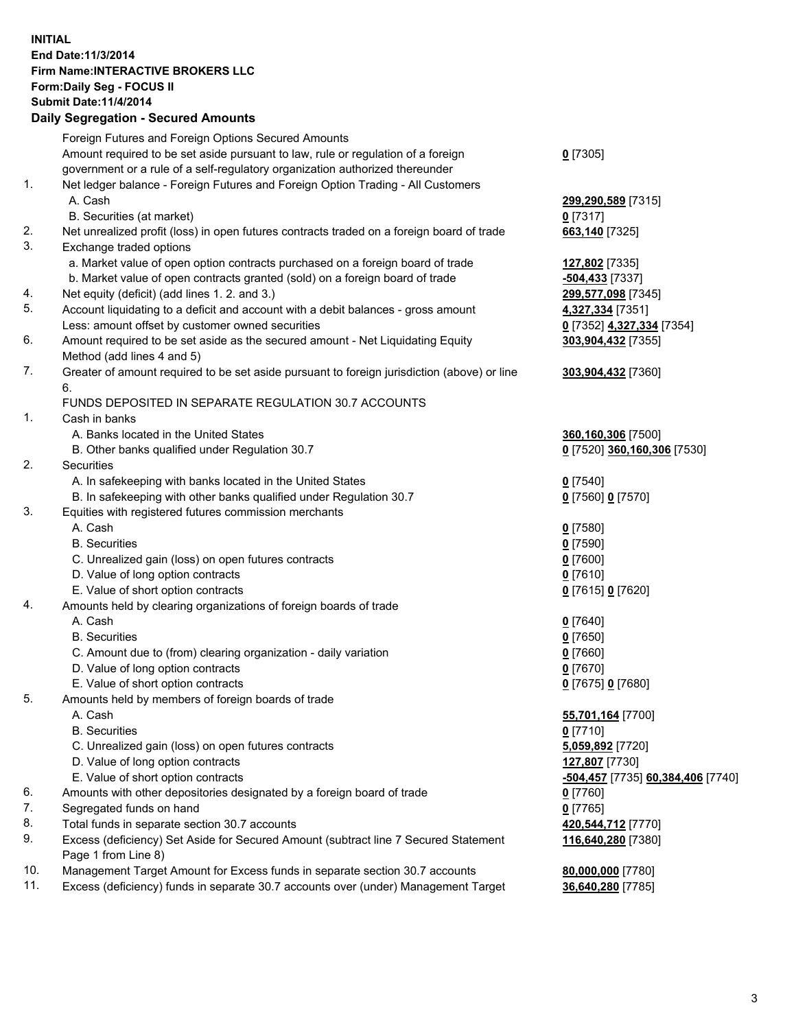## **INITIAL End Date:11/3/2014 Firm Name:INTERACTIVE BROKERS LLC Form:Daily Seg - FOCUS II Submit Date:11/4/2014 Daily Segregation - Secured Amounts**

|                | Daily Jegregation - Jeculed Aniounts                                                                       |                                   |
|----------------|------------------------------------------------------------------------------------------------------------|-----------------------------------|
|                | Foreign Futures and Foreign Options Secured Amounts                                                        |                                   |
|                | Amount required to be set aside pursuant to law, rule or regulation of a foreign                           | $0$ [7305]                        |
|                | government or a rule of a self-regulatory organization authorized thereunder                               |                                   |
| 1.             | Net ledger balance - Foreign Futures and Foreign Option Trading - All Customers                            |                                   |
|                | A. Cash                                                                                                    | 299,290,589 [7315]                |
|                | B. Securities (at market)                                                                                  | $0$ [7317]                        |
| 2.             | Net unrealized profit (loss) in open futures contracts traded on a foreign board of trade                  | 663,140 [7325]                    |
| 3.             | Exchange traded options                                                                                    |                                   |
|                | a. Market value of open option contracts purchased on a foreign board of trade                             | 127,802 [7335]                    |
|                | b. Market value of open contracts granted (sold) on a foreign board of trade                               | -504,433 [7337]                   |
| 4.             | Net equity (deficit) (add lines 1.2. and 3.)                                                               | 299,577,098 [7345]                |
| 5.             | Account liquidating to a deficit and account with a debit balances - gross amount                          | 4,327,334 [7351]                  |
|                | Less: amount offset by customer owned securities                                                           | 0 [7352] 4,327,334 [7354]         |
| 6.             | Amount required to be set aside as the secured amount - Net Liquidating Equity                             | 303,904,432 [7355]                |
|                | Method (add lines 4 and 5)                                                                                 |                                   |
| 7.             | Greater of amount required to be set aside pursuant to foreign jurisdiction (above) or line                | 303,904,432 [7360]                |
|                | 6.                                                                                                         |                                   |
|                | FUNDS DEPOSITED IN SEPARATE REGULATION 30.7 ACCOUNTS                                                       |                                   |
| $\mathbf{1}$ . | Cash in banks                                                                                              |                                   |
|                | A. Banks located in the United States                                                                      | 360,160,306 [7500]                |
|                | B. Other banks qualified under Regulation 30.7                                                             | 0 [7520] 360,160,306 [7530]       |
| 2.             | Securities                                                                                                 |                                   |
|                | A. In safekeeping with banks located in the United States                                                  | $0$ [7540]                        |
|                | B. In safekeeping with other banks qualified under Regulation 30.7                                         | 0 [7560] 0 [7570]                 |
| 3.             | Equities with registered futures commission merchants                                                      |                                   |
|                | A. Cash                                                                                                    | $0$ [7580]                        |
|                | <b>B.</b> Securities                                                                                       | $0$ [7590]                        |
|                | C. Unrealized gain (loss) on open futures contracts                                                        | $0$ [7600]                        |
|                | D. Value of long option contracts                                                                          | $0$ [7610]                        |
|                | E. Value of short option contracts                                                                         | 0 [7615] 0 [7620]                 |
| 4.             | Amounts held by clearing organizations of foreign boards of trade                                          |                                   |
|                | A. Cash                                                                                                    | $0$ [7640]                        |
|                | <b>B.</b> Securities                                                                                       | $0$ [7650]                        |
|                | C. Amount due to (from) clearing organization - daily variation                                            | $0$ [7660]                        |
|                | D. Value of long option contracts                                                                          | $0$ [7670]                        |
|                | E. Value of short option contracts                                                                         | 0 [7675] 0 [7680]                 |
| 5.             | Amounts held by members of foreign boards of trade                                                         |                                   |
|                | A. Cash                                                                                                    | 55,701,164 [7700]                 |
|                | <b>B.</b> Securities                                                                                       | $0$ [7710]                        |
|                | C. Unrealized gain (loss) on open futures contracts                                                        | 5,059,892 [7720]                  |
|                | D. Value of long option contracts                                                                          | 127,807 [7730]                    |
|                | E. Value of short option contracts                                                                         | -504,457 [7735] 60,384,406 [7740] |
| 6.             | Amounts with other depositories designated by a foreign board of trade                                     | $0$ [7760]                        |
| 7.             | Segregated funds on hand                                                                                   | $0$ [7765]                        |
| 8.             | Total funds in separate section 30.7 accounts                                                              | 420,544,712 [7770]                |
| 9.             | Excess (deficiency) Set Aside for Secured Amount (subtract line 7 Secured Statement<br>Page 1 from Line 8) | 116,640,280 [7380]                |
| 10.            | Management Target Amount for Excess funds in separate section 30.7 accounts                                | 80,000,000 [7780]                 |
| 11.            | Excess (deficiency) funds in separate 30.7 accounts over (under) Management Target                         | 36,640,280 [7785]                 |
|                |                                                                                                            |                                   |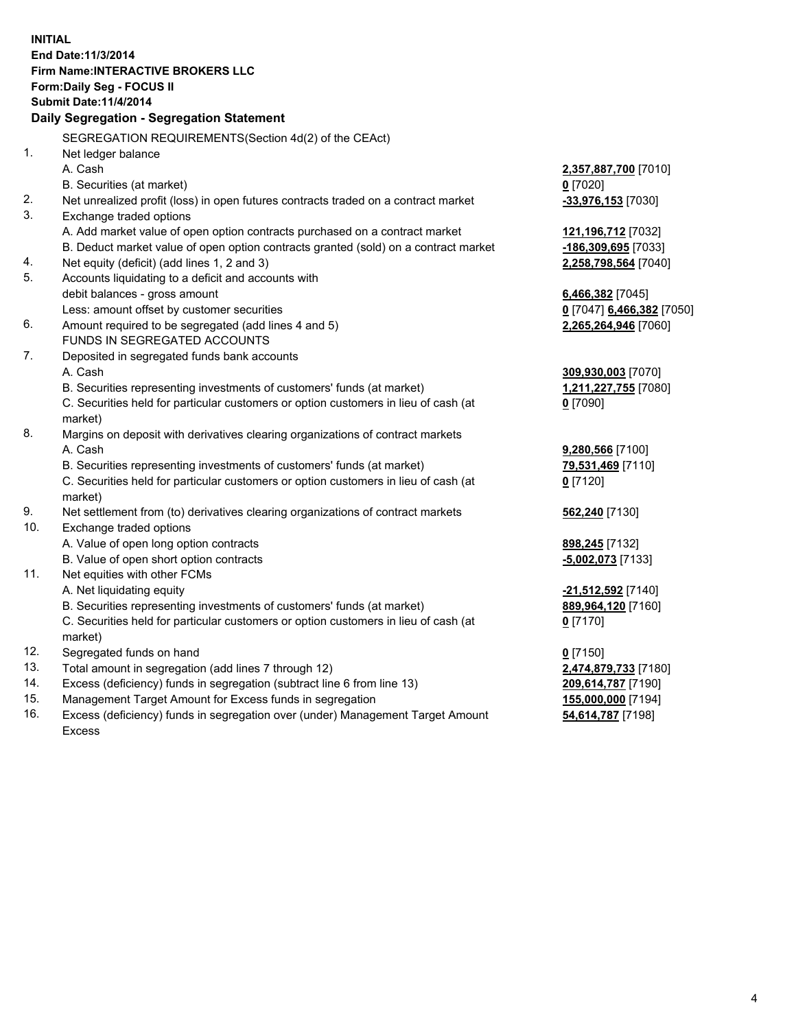**INITIAL End Date:11/3/2014 Firm Name:INTERACTIVE BROKERS LLC Form:Daily Seg - FOCUS II Submit Date:11/4/2014 Daily Segregation - Segregation Statement** SEGREGATION REQUIREMENTS(Section 4d(2) of the CEAct) 1. Net ledger balance A. Cash **2,357,887,700** [7010] B. Securities (at market) **0** [7020] 2. Net unrealized profit (loss) in open futures contracts traded on a contract market **-33,976,153** [7030] 3. Exchange traded options A. Add market value of open option contracts purchased on a contract market **121,196,712** [7032] B. Deduct market value of open option contracts granted (sold) on a contract market **-186,309,695** [7033] 4. Net equity (deficit) (add lines 1, 2 and 3) **2,258,798,564** [7040] 5. Accounts liquidating to a deficit and accounts with debit balances - gross amount **6,466,382** [7045] Less: amount offset by customer securities **0** [7047] **6,466,382** [7050] 6. Amount required to be segregated (add lines 4 and 5) **2,265,264,946** [7060] FUNDS IN SEGREGATED ACCOUNTS 7. Deposited in segregated funds bank accounts A. Cash **309,930,003** [7070] B. Securities representing investments of customers' funds (at market) **1,211,227,755** [7080] C. Securities held for particular customers or option customers in lieu of cash (at market) **0** [7090] 8. Margins on deposit with derivatives clearing organizations of contract markets A. Cash **9,280,566** [7100] B. Securities representing investments of customers' funds (at market) **79,531,469** [7110] C. Securities held for particular customers or option customers in lieu of cash (at market) **0** [7120] 9. Net settlement from (to) derivatives clearing organizations of contract markets **562,240** [7130] 10. Exchange traded options A. Value of open long option contracts **898,245** [7132] B. Value of open short option contracts **-5,002,073** [7133] 11. Net equities with other FCMs A. Net liquidating equity **-21,512,592** [7140] B. Securities representing investments of customers' funds (at market) **889,964,120** [7160] C. Securities held for particular customers or option customers in lieu of cash (at market) **0** [7170] 12. Segregated funds on hand **0** [7150] 13. Total amount in segregation (add lines 7 through 12) **2,474,879,733** [7180] 14. Excess (deficiency) funds in segregation (subtract line 6 from line 13) **209,614,787** [7190] 15. Management Target Amount for Excess funds in segregation **155,000,000** [7194]

16. Excess (deficiency) funds in segregation over (under) Management Target Amount Excess

**54,614,787** [7198]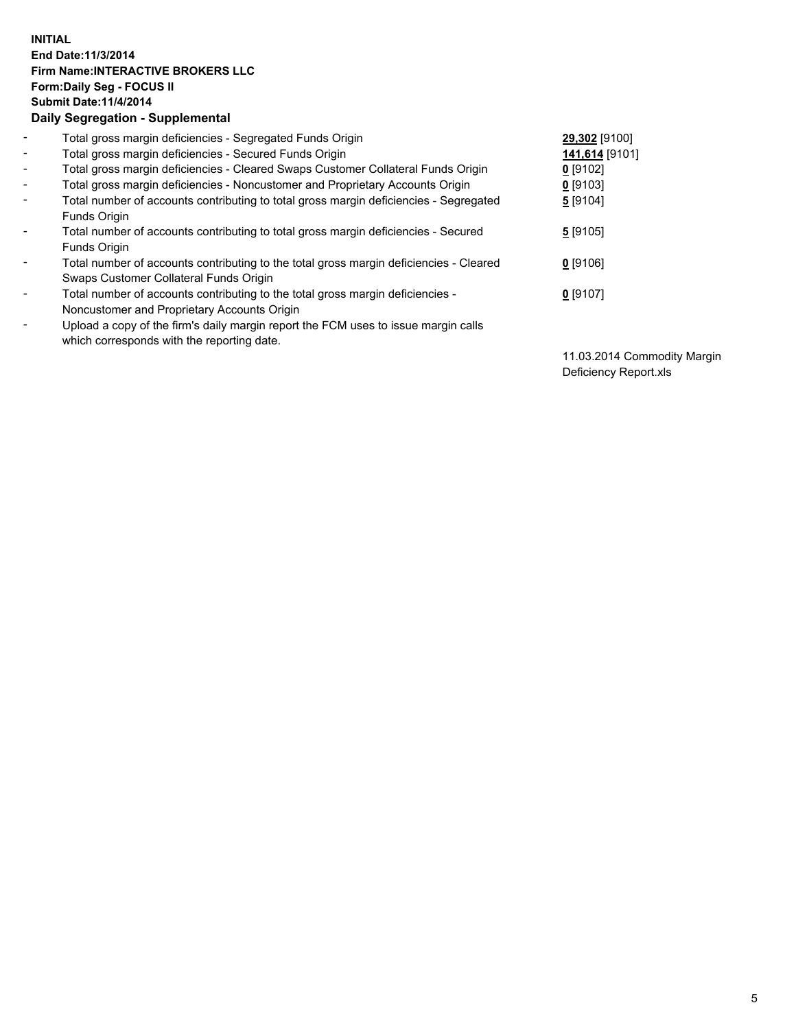## **INITIAL End Date:11/3/2014 Firm Name:INTERACTIVE BROKERS LLC Form:Daily Seg - FOCUS II Submit Date:11/4/2014 Daily Segregation - Supplemental**

| $\blacksquare$               | Total gross margin deficiencies - Segregated Funds Origin                              | 29,302 [9100]  |
|------------------------------|----------------------------------------------------------------------------------------|----------------|
| $\blacksquare$               | Total gross margin deficiencies - Secured Funds Origin                                 | 141,614 [9101] |
| $\blacksquare$               | Total gross margin deficiencies - Cleared Swaps Customer Collateral Funds Origin       | $0$ [9102]     |
| $\blacksquare$               | Total gross margin deficiencies - Noncustomer and Proprietary Accounts Origin          | $0$ [9103]     |
| $\blacksquare$               | Total number of accounts contributing to total gross margin deficiencies - Segregated  | 5 [9104]       |
|                              | Funds Origin                                                                           |                |
| $\blacksquare$               | Total number of accounts contributing to total gross margin deficiencies - Secured     | 5[9105]        |
|                              | <b>Funds Origin</b>                                                                    |                |
| Ξ.                           | Total number of accounts contributing to the total gross margin deficiencies - Cleared | $0$ [9106]     |
|                              | Swaps Customer Collateral Funds Origin                                                 |                |
| $\overline{\phantom{a}}$     | Total number of accounts contributing to the total gross margin deficiencies -         | $0$ [9107]     |
|                              | Noncustomer and Proprietary Accounts Origin                                            |                |
| $\qquad \qquad \blacksquare$ | Upload a copy of the firm's daily margin report the FCM uses to issue margin calls     |                |
|                              | which corresponds with the reporting date.                                             |                |

11.03.2014 Commodity Margin Deficiency Report.xls